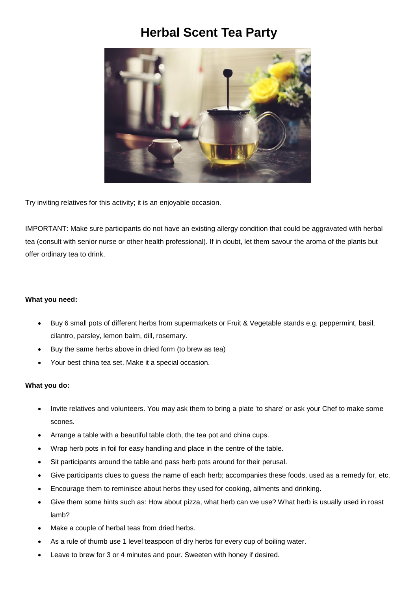## **Herbal Scent Tea Party**



Try inviting relatives for this activity; it is an enjoyable occasion.

IMPORTANT: Make sure participants do not have an existing allergy condition that could be aggravated with herbal tea (consult with senior nurse or other health professional). If in doubt, let them savour the aroma of the plants but offer ordinary tea to drink.

## **What you need:**

- Buy 6 small pots of different herbs from supermarkets or Fruit & Vegetable stands e.g. peppermint, basil, cilantro, parsley, lemon balm, dill, rosemary.
- Buy the same herbs above in dried form (to brew as tea)
- Your best china tea set. Make it a special occasion.

## **What you do:**

- Invite relatives and volunteers. You may ask them to bring a plate 'to share' or ask your Chef to make some scones.
- Arrange a table with a beautiful table cloth, the tea pot and china cups.
- Wrap herb pots in foil for easy handling and place in the centre of the table.
- Sit participants around the table and pass herb pots around for their perusal.
- Give participants clues to guess the name of each herb; accompanies these foods, used as a remedy for, etc.
- Encourage them to reminisce about herbs they used for cooking, ailments and drinking.
- Give them some hints such as: How about pizza, what herb can we use? What herb is usually used in roast lamb?
- Make a couple of herbal teas from dried herbs.
- As a rule of thumb use 1 level teaspoon of dry herbs for every cup of boiling water.
- Leave to brew for 3 or 4 minutes and pour. Sweeten with honey if desired.